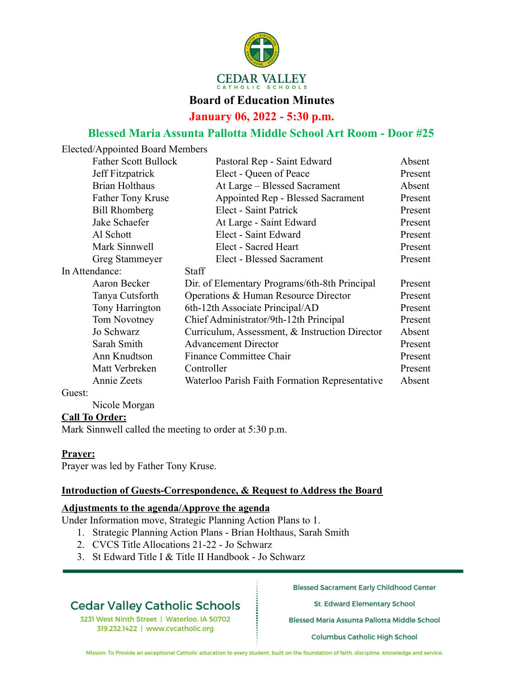

## **Board of Education Minutes**

**January 06, 2022 - 5:30 p.m.**

## **Blessed Maria Assunta Pallotta Middle School Art Room - Door #25**

Elected/Appointed Board Members

| <b>Father Scott Bullock</b> | Pastoral Rep - Saint Edward                    | Absent  |
|-----------------------------|------------------------------------------------|---------|
| Jeff Fitzpatrick            | Elect - Queen of Peace                         | Present |
| <b>Brian Holthaus</b>       | At Large - Blessed Sacrament                   | Absent  |
| Father Tony Kruse           | Appointed Rep - Blessed Sacrament              | Present |
| <b>Bill Rhomberg</b>        | Elect - Saint Patrick                          | Present |
| Jake Schaefer               | At Large - Saint Edward                        | Present |
| Al Schott                   | Elect - Saint Edward                           | Present |
| Mark Sinnwell               | Elect - Sacred Heart                           | Present |
| Greg Stammeyer              | Elect - Blessed Sacrament                      | Present |
| In Attendance:              | <b>Staff</b>                                   |         |
| Aaron Becker                | Dir. of Elementary Programs/6th-8th Principal  | Present |
| Tanya Cutsforth             | Operations & Human Resource Director           | Present |
| Tony Harrington             | 6th-12th Associate Principal/AD                | Present |
| Tom Novotney                | Chief Administrator/9th-12th Principal         | Present |
| Jo Schwarz                  | Curriculum, Assessment, & Instruction Director | Absent  |
| Sarah Smith                 | <b>Advancement Director</b>                    | Present |
| Ann Knudtson                | Finance Committee Chair                        | Present |
| Matt Verbreken              | Controller                                     | Present |
| Annie Zeets                 | Waterloo Parish Faith Formation Representative | Absent  |
|                             |                                                |         |

Guest:

Nicole Morgan

#### **Call To Order:**

Mark Sinnwell called the meeting to order at 5:30 p.m.

#### **Prayer:**

Prayer was led by Father Tony Kruse.

#### **Introduction of Guests-Correspondence, & Request to Address the Board**

#### **Adjustments to the agenda/Approve the agenda**

Under Information move, Strategic Planning Action Plans to 1.

- 1. Strategic Planning Action Plans Brian Holthaus, Sarah Smith
- 2. CVCS Title Allocations 21-22 Jo Schwarz
- 3. St Edward Title I & Title II Handbook Jo Schwarz

## **Cedar Valley Catholic Schools**

3231 West Ninth Street | Waterloo, IA 50702 319.232.1422 | www.cvcatholic.org

**Blessed Sacrament Early Childhood Center** 

St. Edward Elementary School

Blessed Maria Assunta Pallotta Middle School

**Columbus Catholic High School** 

Mission: To Provide an exceptional Catholic education to every student, built on the foundation of faith, discipline, knowledge and service.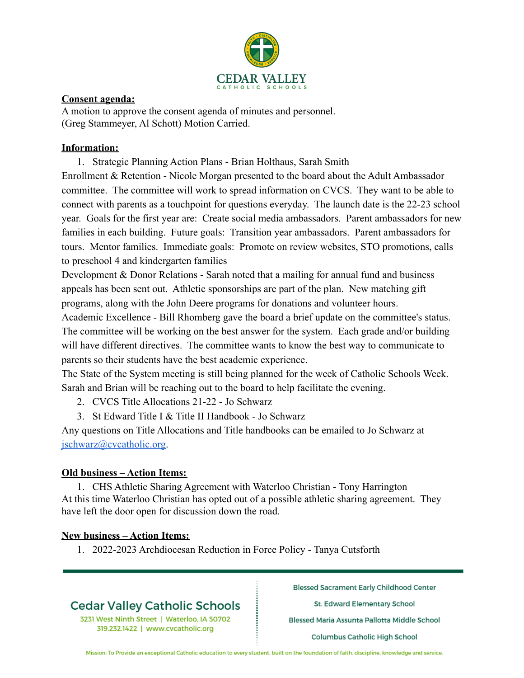

#### **Consent agenda:**

A motion to approve the consent agenda of minutes and personnel. (Greg Stammeyer, Al Schott) Motion Carried.

## **Information:**

1. Strategic Planning Action Plans - Brian Holthaus, Sarah Smith Enrollment & Retention - Nicole Morgan presented to the board about the Adult Ambassador committee. The committee will work to spread information on CVCS. They want to be able to connect with parents as a touchpoint for questions everyday. The launch date is the 22-23 school year. Goals for the first year are: Create social media ambassadors. Parent ambassadors for new families in each building. Future goals: Transition year ambassadors. Parent ambassadors for tours. Mentor families. Immediate goals: Promote on review websites, STO promotions, calls to preschool 4 and kindergarten families

Development & Donor Relations - Sarah noted that a mailing for annual fund and business appeals has been sent out. Athletic sponsorships are part of the plan. New matching gift programs, along with the John Deere programs for donations and volunteer hours.

Academic Excellence - Bill Rhomberg gave the board a brief update on the committee's status. The committee will be working on the best answer for the system. Each grade and/or building will have different directives. The committee wants to know the best way to communicate to parents so their students have the best academic experience.

The State of the System meeting is still being planned for the week of Catholic Schools Week. Sarah and Brian will be reaching out to the board to help facilitate the evening.

- 2. CVCS Title Allocations 21-22 Jo Schwarz
- 3. St Edward Title I & Title II Handbook Jo Schwarz

Any questions on Title Allocations and Title handbooks can be emailed to Jo Schwarz at [jschwarz@cvcatholic.org.](mailto:jschwarz@cvcatholic.org)

## **Old business – Action Items:**

1. CHS Athletic Sharing Agreement with Waterloo Christian - Tony Harrington At this time Waterloo Christian has opted out of a possible athletic sharing agreement. They have left the door open for discussion down the road.

## **New business – Action Items:**

1. 2022-2023 Archdiocesan Reduction in Force Policy - Tanya Cutsforth

# **Cedar Valley Catholic Schools**

3231 West Ninth Street | Waterloo, IA 50702 319.232.1422 | www.cvcatholic.org

**Blessed Sacrament Early Childhood Center** 

St. Edward Elementary School

Blessed Maria Assunta Pallotta Middle School

**Columbus Catholic High School** 

Mission: To Provide an exceptional Catholic education to every student, built on the foundation of faith, discipline, knowledge and service.